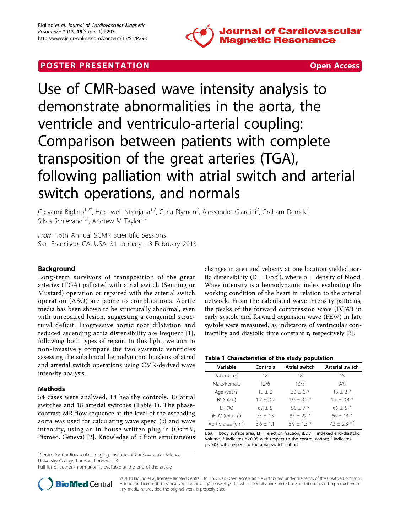

# **POSTER PRESENTATION CONSUMING THE SECOND CONSUMING THE SECOND CONSUMING THE SECOND CONSUMING THE SECOND CONSUMING THE SECOND CONSUMING THE SECOND CONSUMING THE SECOND CONSUMING THE SECOND CONSUMING THE SECOND CONSUMING**



Use of CMR-based wave intensity analysis to demonstrate abnormalities in the aorta, the ventricle and ventriculo-arterial coupling: Comparison between patients with complete transposition of the great arteries (TGA), following palliation with atrial switch and arterial switch operations, and normals

Giovanni Biglino<sup>1,2\*</sup>, Hopewell Ntsinjana<sup>1,2</sup>, Carla Plymen<sup>2</sup>, Alessandro Giardini<sup>2</sup>, Graham Derrick<sup>2</sup> , Silvia Schievano<sup>1,2</sup>, Andrew M Taylor<sup>1,2</sup>

From 16th Annual SCMR Scientific Sessions San Francisco, CA, USA. 31 January - 3 February 2013

# Background

Long-term survivors of transposition of the great arteries (TGA) palliated with atrial switch (Senning or Mustard) operation or repaired with the arterial switch operation (ASO) are prone to complications. Aortic media has been shown to be structurally abnormal, even with unrepaired lesion, suggesting a congenital structural deficit. Progressive aortic root dilatation and reduced ascending aorta distensibility are frequent [[1\]](#page-1-0), following both types of repair. In this light, we aim to non-invasively compare the two systemic ventricles assessing the subclinical hemodynamic burdens of atrial and arterial switch operations using CMR-derived wave intensity analysis.

### Methods

54 cases were analysed, 18 healthy controls, 18 atrial switches and 18 arterial switches (Table 1). The phasecontrast MR flow sequence at the level of the ascending aorta was used for calculating wave speed  $(c)$  and wave intensity, using an in-house written plug-in (OsiriX, Pixmeo, Geneva) [[2\]](#page-1-0). Knowledge of  $c$  from simultaneous

<sup>1</sup>Centre for Cardiovascular Imaging, Institute of Cardiovascular Science, University College London, London, UK

Full list of author information is available at the end of the article



changes in area and velocity at one location yielded aortic distensibility (D =  $1/\rho c^2$ ), where  $\rho$  = density of blood. Wave intensity is a hemodynamic index evaluating the working condition of the heart in relation to the arterial network. From the calculated wave intensity patterns, the peaks of the forward compression wave (FCW) in early systole and forward expansion wave (FEW) in late systole were measured, as indicators of ventricular contractility and diastolic time constant τ, respectively [\[3\]](#page-1-0).

### Table 1 Characteristics of the study population

| Variable                           | Controls    | Atrial switch | <b>Arterial switch</b>   |
|------------------------------------|-------------|---------------|--------------------------|
| Patients (n)                       | 18          | 18            | 18                       |
| Male/Female                        | 12/6        | 13/5          | 9/9                      |
| Age (years)                        | $15 + 2$    | $30 + 6*$     | $15 \pm 3$ <sup>§</sup>  |
| BSA $(m^2)$                        | $1.7 + 0.2$ | $1.9 + 0.2$ * | $1.7 + 0.4$ <sup>§</sup> |
| EF(%)                              | $69 + 5$    | $56 + 7*$     | 66 ± 5 $^{8}$            |
| $iEDV$ (mL/m <sup>2</sup> )        | $75 + 13$   | $87 \pm 22$ * | $86 + 14*$               |
| Aortic area $\text{(cm}^2\text{)}$ | $36 + 11$   | $59 + 15*$    | $73 + 23 * 5$            |

 $BSA = body$  surface area;  $EF = ejection$  fraction;  $iEDV = indexed$  end-diastolic volume.  $*$  indicates p<0.05 with respect to the control cohort;  $§$  indicates p<0.05 with respect to the atrial switch cohort

© 2013 Biglino et al; licensee BioMed Central Ltd. This is an Open Access article distributed under the terms of the Creative Commons Attribution License [\(http://creativecommons.org/licenses/by/2.0](http://creativecommons.org/licenses/by/2.0)), which permits unrestricted use, distribution, and reproduction in any medium, provided the original work is properly cited.